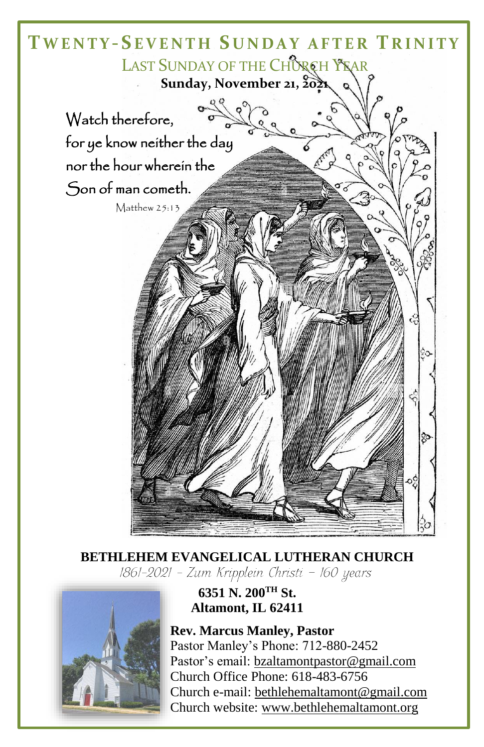

## **BETHLEHEM EVANGELICAL LUTHERAN CHURCH** 1861-2021 - Zum Kripplein Christi - 160 years



# **6351 N. 200TH St. Altamont, IL 62411**

**Rev. Marcus Manley, Pastor** Pastor Manley's Phone: 712-880-2452 Pastor's email[: bzaltamontpastor@gmail.com](mailto:bzaltamontpastor@gmail.com) Church Office Phone: 618-483-6756 Church e-mail: [bethlehemaltamont@gmail.com](mailto:bethlehemaltamont@gmail.com) Church website: [www.bethlehemaltamont.org](http://www.bethlehemaltamont.org/)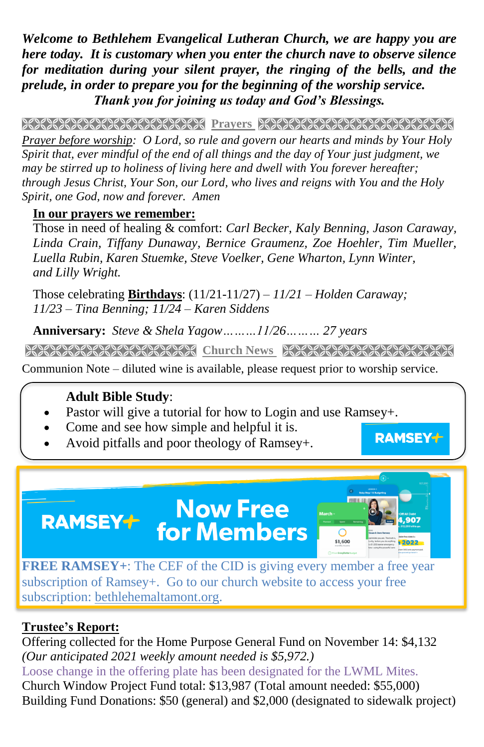*Welcome to Bethlehem Evangelical Lutheran Church, we are happy you are here today. It is customary when you enter the church nave to observe silence for meditation during your silent prayer, the ringing of the bells, and the prelude, in order to prepare you for the beginning of the worship service. Thank you for joining us today and God's Blessings.*

PRAYERS RASHA RASHA PERTA BERSER ANG PARA PARA PERTAMAN DI PRAYERS PARA PERTA DI PERTAMA PERTAMA PER

*Prayer before worship: O Lord, so rule and govern our hearts and minds by Your Holy Spirit that, ever mindful of the end of all things and the day of Your just judgment, we may be stirred up to holiness of living here and dwell with You forever hereafter; through Jesus Christ, Your Son, our Lord, who lives and reigns with You and the Holy Spirit, one God, now and forever. Amen*

### **In our prayers we remember:**

Those in need of healing & comfort: *Carl Becker, Kaly Benning, Jason Caraway, Linda Crain, Tiffany Dunaway, Bernice Graumenz, Zoe Hoehler, Tim Mueller, Luella Rubin, Karen Stuemke, Steve Voelker, Gene Wharton, Lynn Winter, and Lilly Wright.*

Those celebrating **Birthdays**: (11/21-11/27) *– 11/21 – Holden Caraway; 11/23 – Tina Benning; 11/24 – Karen Siddens*

**Anniversary:** *Steve & Shela Yagow………11/26……… 27 years*

**Church News**

**RAMSEY+** 

\$1,600

Communion Note – diluted wine is available, please request prior to worship service.

## **Adult Bible Study**:

- Pastor will give a tutorial for how to Login and use Ramsey+.
- Come and see how simple and helpful it is.
- Avoid pitfalls and poor theology of Ramsey+.

**FREE RAMSEY+**: The CEF of the CID is giving every member a free year subscription of Ramsey+. Go to our church website to access your free subscription: [bethlehemaltamont.org.](http://bethlehemaltamont.org/)

**Now Free** 

**for Members** 

## **Trustee's Report:**

**RAMSEY+** 

Offering collected for the Home Purpose General Fund on November 14: \$4,132 *(Our anticipated 2021 weekly amount needed is \$5,972.)*  Loose change in the offering plate has been designated for the LWML Mites. Church Window Project Fund total: \$13,987 (Total amount needed: \$55,000) Building Fund Donations: \$50 (general) and \$2,000 (designated to sidewalk project)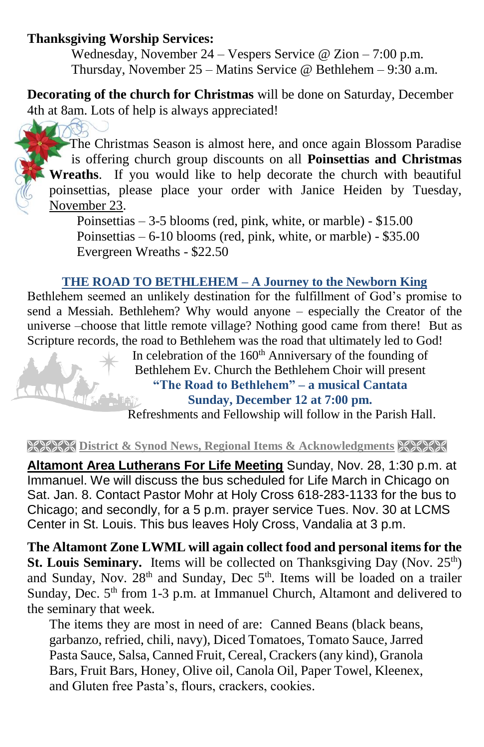### **Thanksgiving Worship Services:**

Wednesday, November 24 – Vespers Service @ Zion – 7:00 p.m. Thursday, November 25 – Matins Service @ Bethlehem – 9:30 a.m.

**Decorating of the church for Christmas** will be done on Saturday, December 4th at 8am. Lots of help is always appreciated!

TOS The Christmas Season is almost here, and once again Blossom Paradise is offering church group discounts on all **Poinsettias and Christmas Wreaths**. If you would like to help decorate the church with beautiful poinsettias, please place your order with Janice Heiden by Tuesday, November 23.

Poinsettias – 3-5 blooms (red, pink, white, or marble) - \$15.00 Poinsettias – 6-10 blooms (red, pink, white, or marble) - \$35.00 Evergreen Wreaths - \$22.50

### **THE ROAD TO BETHLEHEM – A Journey to the Newborn King**

Bethlehem seemed an unlikely destination for the fulfillment of God's promise to send a Messiah. Bethlehem? Why would anyone – especially the Creator of the universe –choose that little remote village? Nothing good came from there! But as Scripture records, the road to Bethlehem was the road that ultimately led to God!

In celebration of the 160<sup>th</sup> Anniversary of the founding of Bethlehem Ev. Church the Bethlehem Choir will present **"The Road to Bethlehem" – a musical Cantata Sunday, December 12 at 7:00 pm.**

Refreshments and Fellowship will follow in the Parish Hall.

#### **EXEXE District & Synod News, Regional Items & Acknowledgments XXXXX**

**Altamont Area Lutherans For Life Meeting** Sunday, Nov. 28, 1:30 p.m. at Immanuel. We will discuss the bus scheduled for Life March in Chicago on Sat. Jan. 8. Contact Pastor Mohr at Holy Cross 618-283-1133 for the bus to Chicago; and secondly, for a 5 p.m. prayer service Tues. Nov. 30 at LCMS Center in St. Louis. This bus leaves Holy Cross, Vandalia at 3 p.m.

**The Altamont Zone LWML will again collect food and personal items for the St. Louis Seminary.** Items will be collected on Thanksgiving Day (Nov. 25<sup>th</sup>) and Sunday, Nov. 28<sup>th</sup> and Sunday, Dec 5<sup>th</sup>. Items will be loaded on a trailer Sunday, Dec.  $5<sup>th</sup>$  from 1-3 p.m. at Immanuel Church, Altamont and delivered to the seminary that week.

The items they are most in need of are: Canned Beans (black beans, garbanzo, refried, chili, navy), Diced Tomatoes, Tomato Sauce, Jarred Pasta Sauce, Salsa, Canned Fruit, Cereal, Crackers (any kind), Granola Bars, Fruit Bars, Honey, Olive oil, Canola Oil, Paper Towel, Kleenex, and Gluten free Pasta's, flours, crackers, cookies.